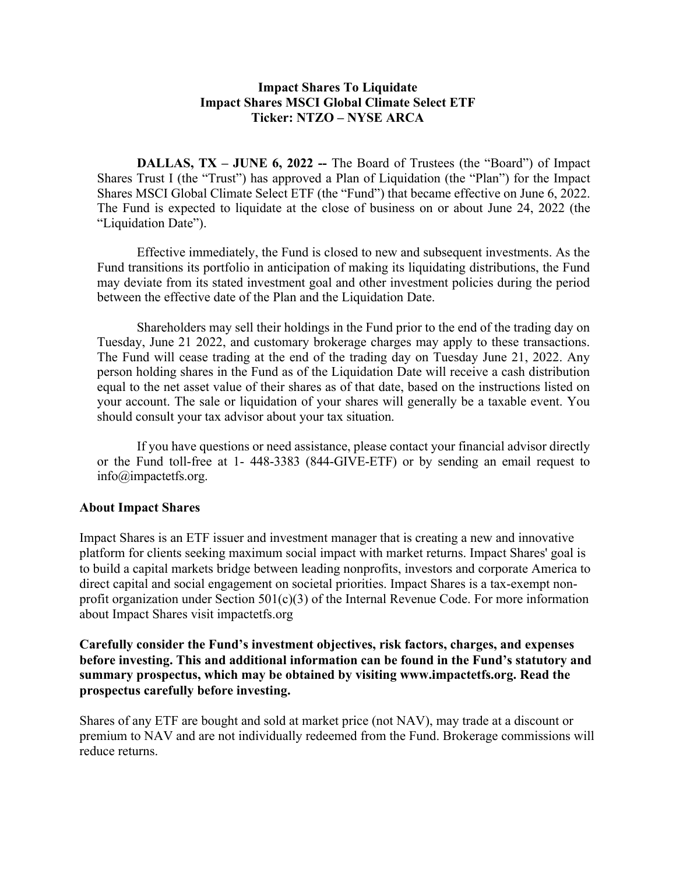## **Impact Shares To Liquidate Impact Shares MSCI Global Climate Select ETF Ticker: NTZO – NYSE ARCA**

**DALLAS, TX – JUNE 6, 2022 –-** The Board of Trustees (the "Board") of Impact Shares Trust I (the "Trust") has approved a Plan of Liquidation (the "Plan") for the Impact Shares MSCI Global Climate Select ETF (the "Fund") that became effective on June 6, 2022. The Fund is expected to liquidate at the close of business on or about June 24, 2022 (the "Liquidation Date").

Effective immediately, the Fund is closed to new and subsequent investments. As the Fund transitions its portfolio in anticipation of making its liquidating distributions, the Fund may deviate from its stated investment goal and other investment policies during the period between the effective date of the Plan and the Liquidation Date.

Shareholders may sell their holdings in the Fund prior to the end of the trading day on Tuesday, June 21 2022, and customary brokerage charges may apply to these transactions. The Fund will cease trading at the end of the trading day on Tuesday June 21, 2022. Any person holding shares in the Fund as of the Liquidation Date will receive a cash distribution equal to the net asset value of their shares as of that date, based on the instructions listed on your account. The sale or liquidation of your shares will generally be a taxable event. You should consult your tax advisor about your tax situation.

If you have questions or need assistance, please contact your financial advisor directly or the Fund toll-free at 1- 448-3383 (844-GIVE-ETF) or by sending an email request to info@impactetfs.org.

## **About Impact Shares**

Impact Shares is an ETF issuer and investment manager that is creating a new and innovative platform for clients seeking maximum social impact with market returns. Impact Shares' goal is to build a capital markets bridge between leading nonprofits, investors and corporate America to direct capital and social engagement on societal priorities. Impact Shares is a tax-exempt nonprofit organization under Section  $501(c)(3)$  of the Internal Revenue Code. For more information about Impact Shares visit impactetfs.org

**Carefully consider the Fund's investment objectives, risk factors, charges, and expenses before investing. This and additional information can be found in the Fund's statutory and summary prospectus, which may be obtained by visiting www.impactetfs.org. Read the prospectus carefully before investing.**

Shares of any ETF are bought and sold at market price (not NAV), may trade at a discount or premium to NAV and are not individually redeemed from the Fund. Brokerage commissions will reduce returns.